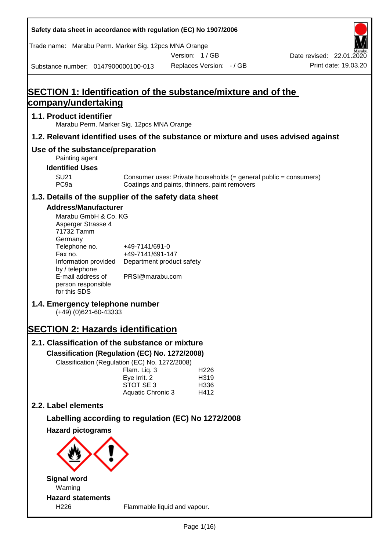| Safety data sheet in accordance with regulation (EC) No 1907/2006                                                                                                                                                                                                                                 |                                                                                    |                                                                                                                   |                          |
|---------------------------------------------------------------------------------------------------------------------------------------------------------------------------------------------------------------------------------------------------------------------------------------------------|------------------------------------------------------------------------------------|-------------------------------------------------------------------------------------------------------------------|--------------------------|
| Trade name: Marabu Perm. Marker Sig. 12pcs MNA Orange                                                                                                                                                                                                                                             |                                                                                    | Version: 1/GB                                                                                                     | Date revised: 22.01.2020 |
| Substance number: 0147900000100-013                                                                                                                                                                                                                                                               |                                                                                    | Replaces Version: - / GB                                                                                          | Print date: 19.03.20     |
| <b>SECTION 1: Identification of the substance/mixture and of the</b>                                                                                                                                                                                                                              |                                                                                    |                                                                                                                   |                          |
| <u>company/undertaking</u>                                                                                                                                                                                                                                                                        |                                                                                    |                                                                                                                   |                          |
| 1.1. Product identifier<br>Marabu Perm. Marker Sig. 12pcs MNA Orange                                                                                                                                                                                                                              |                                                                                    |                                                                                                                   |                          |
| 1.2. Relevant identified uses of the substance or mixture and uses advised against                                                                                                                                                                                                                |                                                                                    |                                                                                                                   |                          |
| Use of the substance/preparation<br>Painting agent<br><b>Identified Uses</b>                                                                                                                                                                                                                      |                                                                                    |                                                                                                                   |                          |
| <b>SU21</b><br>PC <sub>9a</sub>                                                                                                                                                                                                                                                                   |                                                                                    | Consumer uses: Private households (= general public = consumers)<br>Coatings and paints, thinners, paint removers |                          |
| 1.3. Details of the supplier of the safety data sheet                                                                                                                                                                                                                                             |                                                                                    |                                                                                                                   |                          |
| <b>Address/Manufacturer</b><br>Marabu GmbH & Co. KG<br>Asperger Strasse 4<br>71732 Tamm<br>Germany<br>Telephone no.<br>Fax no.<br>Information provided<br>by / telephone<br>E-mail address of<br>person responsible<br>for this SDS<br>1.4. Emergency telephone number<br>$(+49)$ (0)621-60-43333 | +49-7141/691-0<br>+49-7141/691-147<br>Department product safety<br>PRSI@marabu.com |                                                                                                                   |                          |
| <b>SECTION 2: Hazards identification</b>                                                                                                                                                                                                                                                          |                                                                                    |                                                                                                                   |                          |
| 2.1. Classification of the substance or mixture<br>Classification (Regulation (EC) No. 1272/2008)<br>Classification (Regulation (EC) No. 1272/2008)                                                                                                                                               | Flam. Liq. 3<br>Eye Irrit. 2<br>STOT SE 3<br>Aquatic Chronic 3                     | H <sub>226</sub><br>H319<br>H336<br>H412                                                                          |                          |
| 2.2. Label elements                                                                                                                                                                                                                                                                               |                                                                                    |                                                                                                                   |                          |
| Labelling according to regulation (EC) No 1272/2008                                                                                                                                                                                                                                               |                                                                                    |                                                                                                                   |                          |
| <b>Hazard pictograms</b>                                                                                                                                                                                                                                                                          |                                                                                    |                                                                                                                   |                          |
|                                                                                                                                                                                                                                                                                                   |                                                                                    |                                                                                                                   |                          |
| <b>Signal word</b><br>Warning                                                                                                                                                                                                                                                                     |                                                                                    |                                                                                                                   |                          |
| <b>Hazard statements</b><br>H226                                                                                                                                                                                                                                                                  | Flammable liquid and vapour.                                                       |                                                                                                                   |                          |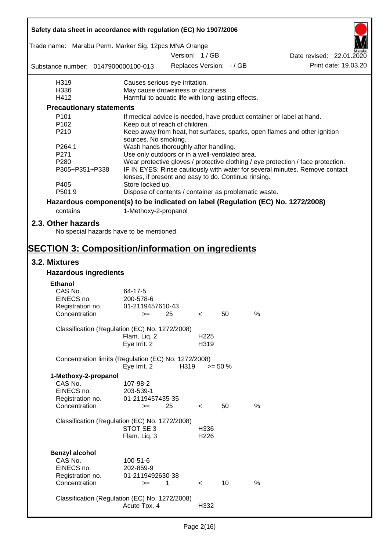| Safety data sheet in accordance with regulation (EC) No 1907/2006               |                                                       |      |                  |                          |      |                                                                                  |
|---------------------------------------------------------------------------------|-------------------------------------------------------|------|------------------|--------------------------|------|----------------------------------------------------------------------------------|
| Trade name: Marabu Perm. Marker Sig. 12pcs MNA Orange                           |                                                       |      | Version: 1/GB    |                          |      |                                                                                  |
| Substance number: 0147900000100-013                                             |                                                       |      |                  | Replaces Version: - / GB |      | Date revised: 22.01.2020<br>Print date: 19.03.20                                 |
|                                                                                 |                                                       |      |                  |                          |      |                                                                                  |
| H319                                                                            | Causes serious eye irritation.                        |      |                  |                          |      |                                                                                  |
| H336                                                                            | May cause drowsiness or dizziness.                    |      |                  |                          |      |                                                                                  |
| H412                                                                            | Harmful to aquatic life with long lasting effects.    |      |                  |                          |      |                                                                                  |
| <b>Precautionary statements</b>                                                 |                                                       |      |                  |                          |      |                                                                                  |
| P <sub>101</sub>                                                                |                                                       |      |                  |                          |      | If medical advice is needed, have product container or label at hand.            |
| P <sub>102</sub>                                                                | Keep out of reach of children.                        |      |                  |                          |      |                                                                                  |
| P210                                                                            | sources. No smoking.                                  |      |                  |                          |      | Keep away from heat, hot surfaces, sparks, open flames and other ignition        |
| P264.1                                                                          | Wash hands thoroughly after handling.                 |      |                  |                          |      |                                                                                  |
| P271                                                                            | Use only outdoors or in a well-ventilated area.       |      |                  |                          |      |                                                                                  |
| P <sub>280</sub>                                                                |                                                       |      |                  |                          |      | Wear protective gloves / protective clothing / eye protection / face protection. |
| P305+P351+P338                                                                  |                                                       |      |                  |                          |      | IF IN EYES: Rinse cautiously with water for several minutes. Remove contact      |
|                                                                                 | lenses, if present and easy to do. Continue rinsing.  |      |                  |                          |      |                                                                                  |
| P405                                                                            | Store locked up.                                      |      |                  |                          |      |                                                                                  |
| P501.9                                                                          | Dispose of contents / container as problematic waste. |      |                  |                          |      |                                                                                  |
| Hazardous component(s) to be indicated on label (Regulation (EC) No. 1272/2008) |                                                       |      |                  |                          |      |                                                                                  |
| contains                                                                        | 1-Methoxy-2-propanol                                  |      |                  |                          |      |                                                                                  |
| 2.3. Other hazards<br>No special hazards have to be mentioned.                  |                                                       |      |                  |                          |      |                                                                                  |
|                                                                                 |                                                       |      |                  |                          |      |                                                                                  |
| <b>SECTION 3: Composition/information on ingredients</b>                        |                                                       |      |                  |                          |      |                                                                                  |
| 3.2. Mixtures                                                                   |                                                       |      |                  |                          |      |                                                                                  |
| <b>Hazardous ingredients</b>                                                    |                                                       |      |                  |                          |      |                                                                                  |
| <b>Ethanol</b>                                                                  |                                                       |      |                  |                          |      |                                                                                  |
| CAS No.                                                                         | 64-17-5                                               |      |                  |                          |      |                                                                                  |
| EINECS no.                                                                      | 200-578-6<br>01-2119457610-43                         |      |                  |                          |      |                                                                                  |
| Registration no.<br>Concentration                                               | $>= 25$                                               |      | $\prec$          | 50                       | %    |                                                                                  |
|                                                                                 |                                                       |      |                  |                          |      |                                                                                  |
| Classification (Regulation (EC) No. 1272/2008)                                  |                                                       |      |                  |                          |      |                                                                                  |
|                                                                                 | Flam. Liq. 2                                          |      | H <sub>225</sub> |                          |      |                                                                                  |
|                                                                                 | Eye Irrit. 2                                          |      | H319             |                          |      |                                                                                  |
| Concentration limits (Regulation (EC) No. 1272/2008)                            |                                                       |      |                  |                          |      |                                                                                  |
|                                                                                 | Eye Irrit. 2                                          | H319 |                  | $>= 50 \%$               |      |                                                                                  |
| 1-Methoxy-2-propanol<br>CAS No.                                                 | 107-98-2                                              |      |                  |                          |      |                                                                                  |
| EINECS no.                                                                      | 203-539-1                                             |      |                  |                          |      |                                                                                  |
| Registration no.                                                                | 01-2119457435-35                                      |      |                  |                          |      |                                                                                  |
| Concentration                                                                   | $=$                                                   | 25   | $\lt$            | 50                       | $\%$ |                                                                                  |
|                                                                                 |                                                       |      |                  |                          |      |                                                                                  |
| Classification (Regulation (EC) No. 1272/2008)                                  |                                                       |      |                  |                          |      |                                                                                  |
|                                                                                 | STOT SE 3                                             |      | H336             |                          |      |                                                                                  |
|                                                                                 | Flam. Liq. 3                                          |      | H226             |                          |      |                                                                                  |
|                                                                                 |                                                       |      |                  |                          |      |                                                                                  |
| <b>Benzyl alcohol</b>                                                           |                                                       |      |                  |                          |      |                                                                                  |
| CAS No.<br>EINECS no.                                                           | 100-51-6<br>202-859-9                                 |      |                  |                          |      |                                                                                  |
| Registration no.                                                                | 01-2119492630-38                                      |      |                  |                          |      |                                                                                  |
| Concentration                                                                   | $=$                                                   | 1    | $\prec$          | 10                       | %    |                                                                                  |
|                                                                                 |                                                       |      |                  |                          |      |                                                                                  |
| Classification (Regulation (EC) No. 1272/2008)                                  |                                                       |      |                  |                          |      |                                                                                  |
|                                                                                 | Acute Tox. 4                                          |      | H332             |                          |      |                                                                                  |
|                                                                                 |                                                       |      |                  |                          |      |                                                                                  |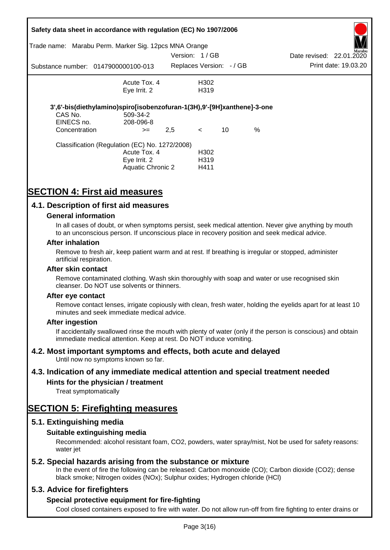|               | Safety data sheet in accordance with regulation (EC) No 1907/2006       |               |                          |    |      |                          |                      |
|---------------|-------------------------------------------------------------------------|---------------|--------------------------|----|------|--------------------------|----------------------|
|               | Trade name: Marabu Perm. Marker Sig. 12pcs MNA Orange                   |               |                          |    |      |                          | Marabu               |
|               |                                                                         | Version: 1/GB |                          |    |      | Date revised: 22.01.2020 |                      |
|               | Substance number: 0147900000100-013                                     |               | Replaces Version: - / GB |    |      |                          | Print date: 19.03.20 |
|               | Acute Tox. 4                                                            |               | H302                     |    |      |                          |                      |
|               | Eye Irrit. 2                                                            |               | H <sub>3</sub> 19        |    |      |                          |                      |
|               | 3',6'-bis(diethylamino)spiro[isobenzofuran-1(3H),9'-[9H]xanthene]-3-one |               |                          |    |      |                          |                      |
| CAS No.       | 509-34-2                                                                |               |                          |    |      |                          |                      |
| EINECS no.    | 208-096-8                                                               |               |                          |    |      |                          |                      |
| Concentration | $>=$                                                                    | 2,5           | $\lt$                    | 10 | $\%$ |                          |                      |
|               | Classification (Regulation (EC) No. 1272/2008)                          |               |                          |    |      |                          |                      |
|               | Acute Tox. 4                                                            |               | H <sub>302</sub>         |    |      |                          |                      |
|               | Eye Irrit. 2                                                            |               | H <sub>3</sub> 19        |    |      |                          |                      |
|               | Aquatic Chronic 2                                                       |               | H411                     |    |      |                          |                      |

# **SECTION 4: First aid measures**

### **4.1. Description of first aid measures**

#### **General information**

In all cases of doubt, or when symptoms persist, seek medical attention. Never give anything by mouth to an unconscious person. If unconscious place in recovery position and seek medical advice.

#### **After inhalation**

Remove to fresh air, keep patient warm and at rest. If breathing is irregular or stopped, administer artificial respiration.

#### **After skin contact**

Remove contaminated clothing. Wash skin thoroughly with soap and water or use recognised skin cleanser. Do NOT use solvents or thinners.

#### **After eye contact**

Remove contact lenses, irrigate copiously with clean, fresh water, holding the eyelids apart for at least 10 minutes and seek immediate medical advice.

#### **After ingestion**

If accidentally swallowed rinse the mouth with plenty of water (only if the person is conscious) and obtain immediate medical attention. Keep at rest. Do NOT induce vomiting.

### **4.2. Most important symptoms and effects, both acute and delayed**

Until now no symptoms known so far.

### **4.3. Indication of any immediate medical attention and special treatment needed**

### **Hints for the physician / treatment**

Treat symptomatically

# **SECTION 5: Firefighting measures**

### **5.1. Extinguishing media**

### **Suitable extinguishing media**

Recommended: alcohol resistant foam, CO2, powders, water spray/mist, Not be used for safety reasons: water *iet* 

### **5.2. Special hazards arising from the substance or mixture**

In the event of fire the following can be released: Carbon monoxide (CO); Carbon dioxide (CO2); dense black smoke; Nitrogen oxides (NOx); Sulphur oxides; Hydrogen chloride (HCl)

### **5.3. Advice for firefighters**

### **Special protective equipment for fire-fighting**

Cool closed containers exposed to fire with water. Do not allow run-off from fire fighting to enter drains or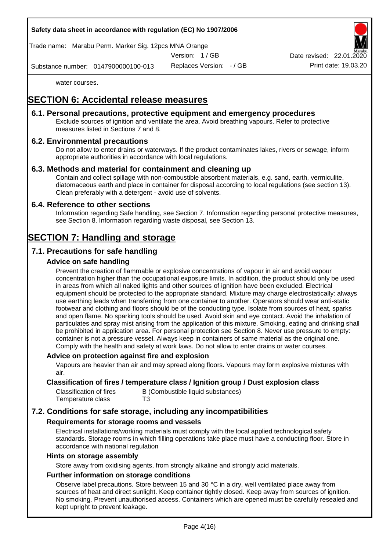#### **Safety data sheet in accordance with regulation (EC) No 1907/2006**

Trade name: Marabu Perm. Marker Sig. 12pcs MNA Orange

Version: 1 / GB

Date revised: 22.01.

Substance number: 0147900000100-013

Replaces Version: - / GB Print date: 19.03.20

water courses.

# **SECTION 6: Accidental release measures**

#### **6.1. Personal precautions, protective equipment and emergency procedures**

Exclude sources of ignition and ventilate the area. Avoid breathing vapours. Refer to protective measures listed in Sections 7 and 8.

### **6.2. Environmental precautions**

Do not allow to enter drains or waterways. If the product contaminates lakes, rivers or sewage, inform appropriate authorities in accordance with local regulations.

#### **6.3. Methods and material for containment and cleaning up**

Contain and collect spillage with non-combustible absorbent materials, e.g. sand, earth, vermiculite, diatomaceous earth and place in container for disposal according to local regulations (see section 13). Clean preferably with a detergent - avoid use of solvents.

#### **6.4. Reference to other sections**

Information regarding Safe handling, see Section 7. Information regarding personal protective measures, see Section 8. Information regarding waste disposal, see Section 13.

# **SECTION 7: Handling and storage**

### **7.1. Precautions for safe handling**

#### **Advice on safe handling**

Prevent the creation of flammable or explosive concentrations of vapour in air and avoid vapour concentration higher than the occupational exposure limits. In addition, the product should only be used in areas from which all naked lights and other sources of ignition have been excluded. Electrical equipment should be protected to the appropriate standard. Mixture may charge electrostatically: always use earthing leads when transferring from one container to another. Operators should wear anti-static footwear and clothing and floors should be of the conducting type. Isolate from sources of heat, sparks and open flame. No sparking tools should be used. Avoid skin and eye contact. Avoid the inhalation of particulates and spray mist arising from the application of this mixture. Smoking, eating and drinking shall be prohibited in application area. For personal protection see Section 8. Never use pressure to empty: container is not a pressure vessel. Always keep in containers of same material as the original one. Comply with the health and safety at work laws. Do not allow to enter drains or water courses.

#### **Advice on protection against fire and explosion**

Vapours are heavier than air and may spread along floors. Vapours may form explosive mixtures with air.

#### **Classification of fires / temperature class / Ignition group / Dust explosion class**

| Classification of fires | B (Combustible liquid substances) |
|-------------------------|-----------------------------------|
| Temperature class       | T3                                |

### **7.2. Conditions for safe storage, including any incompatibilities**

#### **Requirements for storage rooms and vessels**

Electrical installations/working materials must comply with the local applied technological safety standards. Storage rooms in which filling operations take place must have a conducting floor. Store in accordance with national regulation

#### **Hints on storage assembly**

Store away from oxidising agents, from strongly alkaline and strongly acid materials.

#### **Further information on storage conditions**

Observe label precautions. Store between 15 and 30 °C in a dry, well ventilated place away from sources of heat and direct sunlight. Keep container tightly closed. Keep away from sources of ignition. No smoking. Prevent unauthorised access. Containers which are opened must be carefully resealed and kept upright to prevent leakage.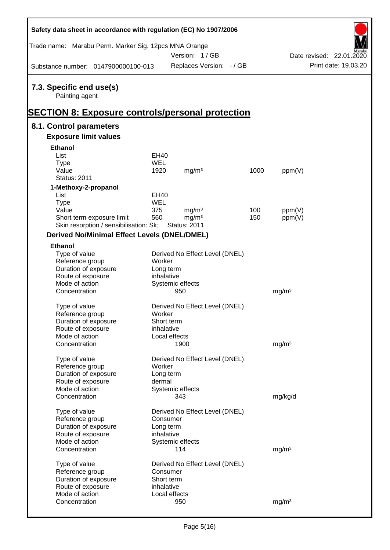| Safety data sheet in accordance with regulation (EC) No 1907/2006                                      |             |                                |      |                   |                          |
|--------------------------------------------------------------------------------------------------------|-------------|--------------------------------|------|-------------------|--------------------------|
| Trade name: Marabu Perm. Marker Sig. 12pcs MNA Orange                                                  |             | Version: 1/GB                  |      |                   | Date revised: 22.01.2020 |
| Substance number: 0147900000100-013                                                                    |             | Replaces Version: - / GB       |      |                   | Print date: 19.03.20     |
| 7.3. Specific end use(s)<br>Painting agent<br><u> SECTION 8: Exposure controls/personal protection</u> |             |                                |      |                   |                          |
| 8.1. Control parameters                                                                                |             |                                |      |                   |                          |
| <b>Exposure limit values</b>                                                                           |             |                                |      |                   |                          |
| <b>Ethanol</b>                                                                                         |             |                                |      |                   |                          |
| List                                                                                                   | EH40        |                                |      |                   |                          |
| <b>Type</b>                                                                                            | <b>WEL</b>  |                                |      |                   |                          |
| Value                                                                                                  | 1920        | mg/m <sup>3</sup>              | 1000 | ppm(V)            |                          |
| <b>Status: 2011</b>                                                                                    |             |                                |      |                   |                          |
| 1-Methoxy-2-propanol                                                                                   |             |                                |      |                   |                          |
| List                                                                                                   | <b>EH40</b> |                                |      |                   |                          |
| <b>Type</b>                                                                                            | <b>WEL</b>  |                                |      |                   |                          |
| Value                                                                                                  | 375         | mg/m <sup>3</sup>              | 100  | ppm(V)            |                          |
| Short term exposure limit<br>Skin resorption / sensibilisation: Sk;                                    | 560         | mg/m <sup>3</sup>              | 150  | ppm(V)            |                          |
|                                                                                                        |             | <b>Status: 2011</b>            |      |                   |                          |
| <b>Derived No/Minimal Effect Levels (DNEL/DMEL)</b>                                                    |             |                                |      |                   |                          |
| <b>Ethanol</b>                                                                                         |             |                                |      |                   |                          |
| Type of value                                                                                          |             | Derived No Effect Level (DNEL) |      |                   |                          |
| Reference group                                                                                        | Worker      |                                |      |                   |                          |
| Duration of exposure<br>Route of exposure                                                              | Long term   |                                |      |                   |                          |
| Mode of action                                                                                         | inhalative  | Systemic effects               |      |                   |                          |
| Concentration                                                                                          |             | 950                            |      | mg/m <sup>3</sup> |                          |
|                                                                                                        |             |                                |      |                   |                          |
| Type of value                                                                                          |             | Derived No Effect Level (DNEL) |      |                   |                          |
| Reference group                                                                                        | Worker      |                                |      |                   |                          |
| Duration of exposure                                                                                   | Short term  |                                |      |                   |                          |
| Route of exposure                                                                                      | inhalative  |                                |      |                   |                          |
| Mode of action                                                                                         |             | Local effects                  |      |                   |                          |
| Concentration                                                                                          |             | 1900                           |      | mg/m <sup>3</sup> |                          |
|                                                                                                        |             |                                |      |                   |                          |
| Type of value<br>Reference group                                                                       | Worker      | Derived No Effect Level (DNEL) |      |                   |                          |
| Duration of exposure                                                                                   | Long term   |                                |      |                   |                          |
| Route of exposure                                                                                      | dermal      |                                |      |                   |                          |
| Mode of action                                                                                         |             | Systemic effects               |      |                   |                          |
| Concentration                                                                                          |             | 343                            |      | mg/kg/d           |                          |
|                                                                                                        |             |                                |      |                   |                          |
| Type of value                                                                                          |             | Derived No Effect Level (DNEL) |      |                   |                          |
| Reference group                                                                                        | Consumer    |                                |      |                   |                          |
| Duration of exposure                                                                                   | Long term   |                                |      |                   |                          |
| Route of exposure                                                                                      | inhalative  |                                |      |                   |                          |
| Mode of action                                                                                         |             | Systemic effects               |      |                   |                          |
| Concentration                                                                                          |             | 114                            |      | mg/m <sup>3</sup> |                          |
| Type of value                                                                                          |             | Derived No Effect Level (DNEL) |      |                   |                          |
| Reference group                                                                                        | Consumer    |                                |      |                   |                          |
| Duration of exposure                                                                                   | Short term  |                                |      |                   |                          |
| Route of exposure                                                                                      | inhalative  |                                |      |                   |                          |
| Mode of action                                                                                         |             | Local effects                  |      |                   |                          |
| Concentration                                                                                          |             | 950                            |      | mg/m <sup>3</sup> |                          |
|                                                                                                        |             |                                |      |                   |                          |

Ī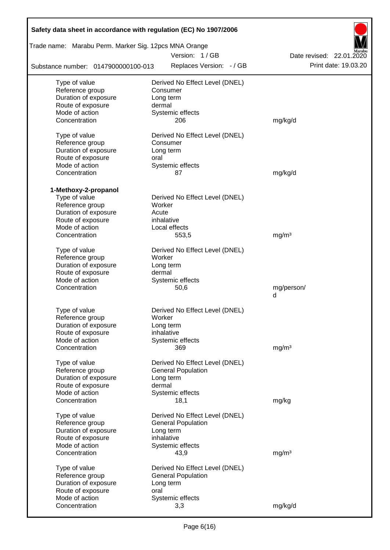| Safety data sheet in accordance with regulation (EC) No 1907/2006 |                                        |                          |
|-------------------------------------------------------------------|----------------------------------------|--------------------------|
| Trade name: Marabu Perm. Marker Sig. 12pcs MNA Orange             |                                        |                          |
|                                                                   | Version: 1/GB                          | Date revised: 22.01.2020 |
| Substance number: 0147900000100-013                               | Replaces Version: - / GB               | Print date: 19.03.20     |
| Type of value                                                     | Derived No Effect Level (DNEL)         |                          |
| Reference group                                                   | Consumer                               |                          |
| Duration of exposure                                              | Long term                              |                          |
| Route of exposure                                                 | dermal                                 |                          |
| Mode of action                                                    | Systemic effects                       |                          |
| Concentration                                                     | 206                                    | mg/kg/d                  |
| Type of value                                                     | Derived No Effect Level (DNEL)         |                          |
| Reference group                                                   | Consumer                               |                          |
| Duration of exposure                                              | Long term                              |                          |
| Route of exposure                                                 | oral                                   |                          |
| Mode of action                                                    | Systemic effects                       |                          |
| Concentration                                                     | 87                                     | mg/kg/d                  |
| 1-Methoxy-2-propanol                                              |                                        |                          |
| Type of value                                                     | Derived No Effect Level (DNEL)         |                          |
| Reference group                                                   | Worker                                 |                          |
| Duration of exposure                                              | Acute                                  |                          |
| Route of exposure                                                 | inhalative                             |                          |
| Mode of action                                                    | Local effects                          |                          |
| Concentration                                                     | 553,5                                  | mg/m <sup>3</sup>        |
| Type of value                                                     | Derived No Effect Level (DNEL)         |                          |
| Reference group                                                   | Worker                                 |                          |
| Duration of exposure                                              | Long term                              |                          |
| Route of exposure                                                 | dermal                                 |                          |
| Mode of action                                                    | Systemic effects                       |                          |
| Concentration                                                     | 50,6                                   | mg/person/               |
|                                                                   |                                        | d                        |
| Type of value                                                     | Derived No Effect Level (DNEL)         |                          |
| Reference group                                                   | Worker                                 |                          |
| Duration of exposure                                              | Long term                              |                          |
| Route of exposure                                                 | inhalative                             |                          |
| Mode of action                                                    | Systemic effects                       |                          |
| Concentration                                                     | 369                                    | mg/m <sup>3</sup>        |
|                                                                   |                                        |                          |
| Type of value<br>Reference group                                  | Derived No Effect Level (DNEL)         |                          |
| Duration of exposure                                              | <b>General Population</b><br>Long term |                          |
| Route of exposure                                                 | dermal                                 |                          |
| Mode of action                                                    | Systemic effects                       |                          |
| Concentration                                                     | 18,1                                   | mg/kg                    |
|                                                                   |                                        |                          |
| Type of value                                                     | Derived No Effect Level (DNEL)         |                          |
| Reference group                                                   | <b>General Population</b>              |                          |
| Duration of exposure                                              | Long term                              |                          |
| Route of exposure<br>Mode of action                               | inhalative<br>Systemic effects         |                          |
| Concentration                                                     | 43,9                                   | mg/m <sup>3</sup>        |
|                                                                   |                                        |                          |
| Type of value                                                     | Derived No Effect Level (DNEL)         |                          |
| Reference group                                                   | <b>General Population</b>              |                          |
| Duration of exposure                                              | Long term                              |                          |
| Route of exposure                                                 | oral                                   |                          |
| Mode of action                                                    | Systemic effects                       |                          |
| Concentration                                                     | 3,3                                    | mg/kg/d                  |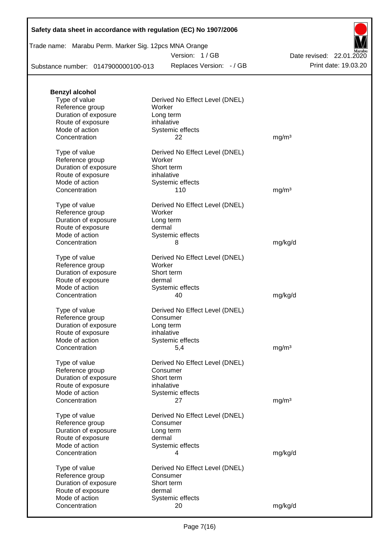| Safety data sheet in accordance with regulation (EC) No 1907/2006 |  |  |  |
|-------------------------------------------------------------------|--|--|--|
|-------------------------------------------------------------------|--|--|--|

| Trade name: Marabu Perm. Marker Sig. 12pcs MNA Orange |  |  |
|-------------------------------------------------------|--|--|
|                                                       |  |  |

Version: 1 / GB

Replaces Version: - / GB Print date: 19.03.20 Date revised: 22.01.2020

Substance number: 0147900000100-013

| <b>Benzyl alcohol</b> |                                |                   |
|-----------------------|--------------------------------|-------------------|
| Type of value         | Derived No Effect Level (DNEL) |                   |
| Reference group       | Worker                         |                   |
| Duration of exposure  | Long term                      |                   |
| Route of exposure     | inhalative                     |                   |
| Mode of action        | Systemic effects               |                   |
| Concentration         | 22                             | mg/m <sup>3</sup> |
|                       |                                |                   |
| Type of value         | Derived No Effect Level (DNEL) |                   |
| Reference group       | Worker                         |                   |
| Duration of exposure  | Short term                     |                   |
|                       |                                |                   |
| Route of exposure     | inhalative                     |                   |
| Mode of action        | Systemic effects               |                   |
| Concentration         | 110                            | mg/m <sup>3</sup> |
|                       |                                |                   |
| Type of value         | Derived No Effect Level (DNEL) |                   |
| Reference group       | Worker                         |                   |
| Duration of exposure  | Long term                      |                   |
| Route of exposure     | dermal                         |                   |
| Mode of action        | Systemic effects               |                   |
| Concentration         | 8                              | mg/kg/d           |
|                       |                                |                   |
| Type of value         | Derived No Effect Level (DNEL) |                   |
| Reference group       | Worker                         |                   |
| Duration of exposure  | Short term                     |                   |
| Route of exposure     | dermal                         |                   |
| Mode of action        | Systemic effects               |                   |
| Concentration         | 40                             | mg/kg/d           |
|                       |                                |                   |
| Type of value         | Derived No Effect Level (DNEL) |                   |
| Reference group       | Consumer                       |                   |
| Duration of exposure  | Long term                      |                   |
| Route of exposure     | inhalative                     |                   |
| Mode of action        | Systemic effects               |                   |
| Concentration         | 5,4                            | mg/m <sup>3</sup> |
|                       |                                |                   |
| Type of value         | Derived No Effect Level (DNEL) |                   |
| Reference group       | Consumer                       |                   |
| Duration of exposure  | Short term                     |                   |
| Route of exposure     | inhalative                     |                   |
| Mode of action        |                                |                   |
| Concentration         | Systemic effects               |                   |
|                       | 27                             | mg/m <sup>3</sup> |
| Type of value         | Derived No Effect Level (DNEL) |                   |
|                       |                                |                   |
| Reference group       | Consumer                       |                   |
| Duration of exposure  | Long term                      |                   |
| Route of exposure     | dermal                         |                   |
| Mode of action        | Systemic effects               |                   |
| Concentration         | 4                              | mg/kg/d           |
|                       |                                |                   |
| Type of value         | Derived No Effect Level (DNEL) |                   |
| Reference group       | Consumer                       |                   |
| Duration of exposure  | Short term                     |                   |
| Route of exposure     | dermal                         |                   |
| Mode of action        | Systemic effects               |                   |
| Concentration         | 20                             | mg/kg/d           |
|                       |                                |                   |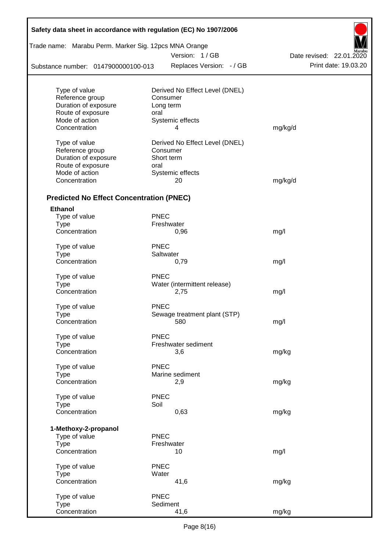| Safety data sheet in accordance with regulation (EC) No 1907/2006 |             |                                            |                          |  |  |  |
|-------------------------------------------------------------------|-------------|--------------------------------------------|--------------------------|--|--|--|
| Trade name: Marabu Perm. Marker Sig. 12pcs MNA Orange             |             |                                            |                          |  |  |  |
|                                                                   |             | Version: 1/GB                              | Date revised: 22.01.2020 |  |  |  |
| Substance number: 0147900000100-013                               |             | Replaces Version: - / GB                   | Print date: 19.03.20     |  |  |  |
|                                                                   |             |                                            |                          |  |  |  |
| Type of value<br>Reference group                                  |             | Derived No Effect Level (DNEL)<br>Consumer |                          |  |  |  |
| Duration of exposure                                              |             | Long term                                  |                          |  |  |  |
| Route of exposure                                                 | oral        |                                            |                          |  |  |  |
| Mode of action                                                    |             | Systemic effects                           |                          |  |  |  |
| Concentration                                                     |             | 4                                          | mg/kg/d                  |  |  |  |
| Type of value                                                     |             | Derived No Effect Level (DNEL)             |                          |  |  |  |
| Reference group                                                   |             | Consumer                                   |                          |  |  |  |
| Duration of exposure                                              |             | Short term                                 |                          |  |  |  |
| Route of exposure                                                 | oral        |                                            |                          |  |  |  |
| Mode of action                                                    |             | Systemic effects                           |                          |  |  |  |
| Concentration                                                     |             | 20                                         | mg/kg/d                  |  |  |  |
| <b>Predicted No Effect Concentration (PNEC)</b>                   |             |                                            |                          |  |  |  |
| <b>Ethanol</b>                                                    |             |                                            |                          |  |  |  |
| Type of value                                                     | <b>PNEC</b> |                                            |                          |  |  |  |
| <b>Type</b>                                                       |             | Freshwater                                 |                          |  |  |  |
| Concentration                                                     |             | 0,96                                       | mg/l                     |  |  |  |
| Type of value                                                     | <b>PNEC</b> |                                            |                          |  |  |  |
| <b>Type</b>                                                       |             | Saltwater                                  |                          |  |  |  |
| Concentration                                                     |             | 0,79                                       | mg/l                     |  |  |  |
| Type of value                                                     | <b>PNEC</b> |                                            |                          |  |  |  |
| <b>Type</b>                                                       |             | Water (intermittent release)               |                          |  |  |  |
| Concentration                                                     |             | 2,75                                       | mg/l                     |  |  |  |
| Type of value                                                     | <b>PNEC</b> |                                            |                          |  |  |  |
| Type                                                              |             | Sewage treatment plant (STP)               |                          |  |  |  |
| Concentration                                                     |             | 580                                        | mg/l                     |  |  |  |
| Type of value                                                     | <b>PNEC</b> |                                            |                          |  |  |  |
| <b>Type</b>                                                       |             | Freshwater sediment                        |                          |  |  |  |
| Concentration                                                     |             | 3,6                                        | mg/kg                    |  |  |  |
| Type of value                                                     | <b>PNEC</b> |                                            |                          |  |  |  |
| <b>Type</b>                                                       |             | Marine sediment                            |                          |  |  |  |
| Concentration                                                     |             | 2,9                                        | mg/kg                    |  |  |  |
| Type of value                                                     | <b>PNEC</b> |                                            |                          |  |  |  |
| <b>Type</b>                                                       | Soil        |                                            |                          |  |  |  |
| Concentration                                                     |             | 0,63                                       | mg/kg                    |  |  |  |
| 1-Methoxy-2-propanol                                              |             |                                            |                          |  |  |  |
| Type of value                                                     | <b>PNEC</b> |                                            |                          |  |  |  |
| <b>Type</b>                                                       |             | Freshwater                                 |                          |  |  |  |
| Concentration                                                     |             | 10                                         | mg/l                     |  |  |  |
| Type of value                                                     | <b>PNEC</b> |                                            |                          |  |  |  |
| <b>Type</b>                                                       | Water       |                                            |                          |  |  |  |
| Concentration                                                     |             | 41,6                                       | mg/kg                    |  |  |  |
| Type of value                                                     | <b>PNEC</b> |                                            |                          |  |  |  |
| <b>Type</b>                                                       |             | Sediment                                   |                          |  |  |  |
| Concentration                                                     |             | 41,6                                       | mg/kg                    |  |  |  |

Г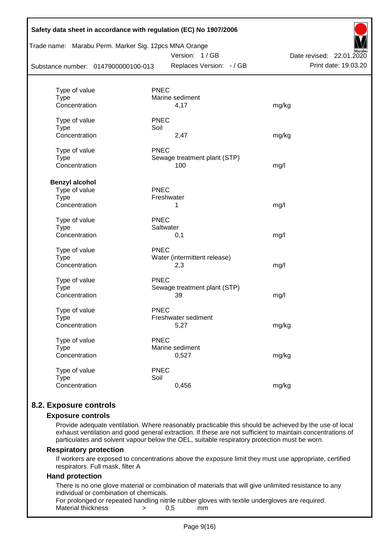| Trade name: Marabu Perm. Marker Sig. 12pcs MNA Orange<br>Substance number: 0147900000100-013 |             | Version: 1/GB<br>Replaces Version: - / GB | Aarabu<br>Date revised: 22.01.2020<br>Print date: 19.03.20 |
|----------------------------------------------------------------------------------------------|-------------|-------------------------------------------|------------------------------------------------------------|
|                                                                                              | <b>PNEC</b> |                                           |                                                            |
| Type of value<br><b>Type</b>                                                                 |             | Marine sediment                           |                                                            |
| Concentration                                                                                |             | 4,17                                      | mg/kg                                                      |
| Type of value                                                                                | <b>PNEC</b> |                                           |                                                            |
| <b>Type</b>                                                                                  | Soil        |                                           |                                                            |
| Concentration                                                                                |             | 2,47                                      | mg/kg                                                      |
| Type of value                                                                                | <b>PNEC</b> |                                           |                                                            |
| <b>Type</b>                                                                                  |             | Sewage treatment plant (STP)              |                                                            |
| Concentration                                                                                |             | 100                                       | mg/l                                                       |
| <b>Benzyl alcohol</b>                                                                        |             |                                           |                                                            |
| Type of value                                                                                | <b>PNEC</b> |                                           |                                                            |
| <b>Type</b>                                                                                  |             | Freshwater                                |                                                            |
| Concentration                                                                                |             | 1                                         | mg/l                                                       |
| Type of value                                                                                | <b>PNEC</b> |                                           |                                                            |
| <b>Type</b>                                                                                  |             | Saltwater                                 |                                                            |
| Concentration                                                                                |             | 0,1                                       | mg/l                                                       |
| Type of value                                                                                | <b>PNEC</b> |                                           |                                                            |
| <b>Type</b>                                                                                  |             | Water (intermittent release)              |                                                            |
| Concentration                                                                                |             | 2,3                                       | mg/l                                                       |
| Type of value                                                                                | <b>PNEC</b> |                                           |                                                            |
| <b>Type</b>                                                                                  |             | Sewage treatment plant (STP)              |                                                            |
| Concentration                                                                                |             | 39                                        | mg/l                                                       |
| Type of value                                                                                | <b>PNEC</b> |                                           |                                                            |
| <b>Type</b>                                                                                  |             | Freshwater sediment                       |                                                            |
| Concentration                                                                                |             | 5,27                                      | mg/kg                                                      |
| Type of value                                                                                | <b>PNEC</b> |                                           |                                                            |
| <b>Type</b>                                                                                  |             | Marine sediment                           |                                                            |
| Concentration                                                                                |             | 0,527                                     | mg/kg                                                      |
| Type of value                                                                                | <b>PNEC</b> |                                           |                                                            |
| <b>Type</b>                                                                                  | Soil        |                                           |                                                            |
| Concentration                                                                                |             | 0,456                                     | mg/kg                                                      |

# **8.2. Exposure controls**

#### **Exposure controls**

Provide adequate ventilation. Where reasonably practicable this should be achieved by the use of local exhaust ventilation and good general extraction. If these are not sufficient to maintain concentrations of particulates and solvent vapour below the OEL, suitable respiratory protection must be worn.

#### **Respiratory protection**

If workers are exposed to concentrations above the exposure limit they must use appropriate, certified respirators. Full mask, filter A

#### **Hand protection**

There is no one glove material or combination of materials that will give unlimited resistance to any individual or combination of chemicals.

For prolonged or repeated handling nitrile rubber gloves with textile undergloves are required. Material thickness  $\rightarrow$  0,5 mm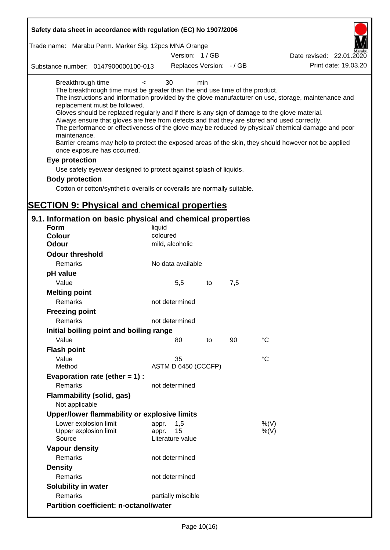| Safety data sheet in accordance with regulation (EC) No 1907/2006                                                                                                                                                                                                                                                                                                                                                                                                                                                                                                                      |                                                 |     |     |                                                                                                                                                                                                                                                                                                                    |
|----------------------------------------------------------------------------------------------------------------------------------------------------------------------------------------------------------------------------------------------------------------------------------------------------------------------------------------------------------------------------------------------------------------------------------------------------------------------------------------------------------------------------------------------------------------------------------------|-------------------------------------------------|-----|-----|--------------------------------------------------------------------------------------------------------------------------------------------------------------------------------------------------------------------------------------------------------------------------------------------------------------------|
| Trade name: Marabu Perm. Marker Sig. 12pcs MNA Orange                                                                                                                                                                                                                                                                                                                                                                                                                                                                                                                                  | Version: 1/GB                                   |     |     | Date revised: 22.01.2020                                                                                                                                                                                                                                                                                           |
| Substance number: 0147900000100-013                                                                                                                                                                                                                                                                                                                                                                                                                                                                                                                                                    | Replaces Version: - / GB                        |     |     | Print date: 19.03.20                                                                                                                                                                                                                                                                                               |
| Breakthrough time<br>$\lt$<br>The breakthrough time must be greater than the end use time of the product.<br>replacement must be followed.<br>Gloves should be replaced regularly and if there is any sign of damage to the glove material.<br>Always ensure that gloves are free from defects and that they are stored and used correctly.<br>maintenance.<br>once exposure has occurred.<br>Eye protection<br>Use safety eyewear designed to protect against splash of liquids.<br><b>Body protection</b><br>Cotton or cotton/synthetic overalls or coveralls are normally suitable. | 30                                              | min |     | The instructions and information provided by the glove manufacturer on use, storage, maintenance and<br>The performance or effectiveness of the glove may be reduced by physical/ chemical damage and poor<br>Barrier creams may help to protect the exposed areas of the skin, they should however not be applied |
| <b>SECTION 9: Physical and chemical properties</b>                                                                                                                                                                                                                                                                                                                                                                                                                                                                                                                                     |                                                 |     |     |                                                                                                                                                                                                                                                                                                                    |
| 9.1. Information on basic physical and chemical properties<br><b>Form</b><br><b>Colour</b><br><b>Odour</b>                                                                                                                                                                                                                                                                                                                                                                                                                                                                             | liquid<br>coloured<br>mild, alcoholic           |     |     |                                                                                                                                                                                                                                                                                                                    |
| <b>Odour threshold</b>                                                                                                                                                                                                                                                                                                                                                                                                                                                                                                                                                                 |                                                 |     |     |                                                                                                                                                                                                                                                                                                                    |
| Remarks<br>pH value                                                                                                                                                                                                                                                                                                                                                                                                                                                                                                                                                                    | No data available                               |     |     |                                                                                                                                                                                                                                                                                                                    |
| Value                                                                                                                                                                                                                                                                                                                                                                                                                                                                                                                                                                                  | 5,5                                             | to  | 7,5 |                                                                                                                                                                                                                                                                                                                    |
| <b>Melting point</b><br>Remarks                                                                                                                                                                                                                                                                                                                                                                                                                                                                                                                                                        | not determined                                  |     |     |                                                                                                                                                                                                                                                                                                                    |
| <b>Freezing point</b><br>Remarks                                                                                                                                                                                                                                                                                                                                                                                                                                                                                                                                                       | not determined                                  |     |     |                                                                                                                                                                                                                                                                                                                    |
| Initial boiling point and boiling range                                                                                                                                                                                                                                                                                                                                                                                                                                                                                                                                                |                                                 |     |     |                                                                                                                                                                                                                                                                                                                    |
| Value                                                                                                                                                                                                                                                                                                                                                                                                                                                                                                                                                                                  | 80                                              | to  | 90  | $\rm ^{\circ}C$                                                                                                                                                                                                                                                                                                    |
| <b>Flash point</b><br>Value<br>Method                                                                                                                                                                                                                                                                                                                                                                                                                                                                                                                                                  | 35<br>ASTM D 6450 (CCCFP)                       |     |     | °C                                                                                                                                                                                                                                                                                                                 |
| Evaporation rate (ether $= 1$ ) :<br>Remarks                                                                                                                                                                                                                                                                                                                                                                                                                                                                                                                                           | not determined                                  |     |     |                                                                                                                                                                                                                                                                                                                    |
| Flammability (solid, gas)<br>Not applicable                                                                                                                                                                                                                                                                                                                                                                                                                                                                                                                                            |                                                 |     |     |                                                                                                                                                                                                                                                                                                                    |
| Upper/lower flammability or explosive limits                                                                                                                                                                                                                                                                                                                                                                                                                                                                                                                                           |                                                 |     |     |                                                                                                                                                                                                                                                                                                                    |
| Lower explosion limit<br>Upper explosion limit<br>Source                                                                                                                                                                                                                                                                                                                                                                                                                                                                                                                               | 1,5<br>appr.<br>15<br>appr.<br>Literature value |     |     | %(V)<br>$%$ (V)                                                                                                                                                                                                                                                                                                    |
| <b>Vapour density</b>                                                                                                                                                                                                                                                                                                                                                                                                                                                                                                                                                                  |                                                 |     |     |                                                                                                                                                                                                                                                                                                                    |
| Remarks                                                                                                                                                                                                                                                                                                                                                                                                                                                                                                                                                                                | not determined                                  |     |     |                                                                                                                                                                                                                                                                                                                    |
| <b>Density</b>                                                                                                                                                                                                                                                                                                                                                                                                                                                                                                                                                                         |                                                 |     |     |                                                                                                                                                                                                                                                                                                                    |
| Remarks                                                                                                                                                                                                                                                                                                                                                                                                                                                                                                                                                                                | not determined                                  |     |     |                                                                                                                                                                                                                                                                                                                    |
| Solubility in water                                                                                                                                                                                                                                                                                                                                                                                                                                                                                                                                                                    |                                                 |     |     |                                                                                                                                                                                                                                                                                                                    |
| Remarks                                                                                                                                                                                                                                                                                                                                                                                                                                                                                                                                                                                | partially miscible                              |     |     |                                                                                                                                                                                                                                                                                                                    |
| <b>Partition coefficient: n-octanol/water</b>                                                                                                                                                                                                                                                                                                                                                                                                                                                                                                                                          |                                                 |     |     |                                                                                                                                                                                                                                                                                                                    |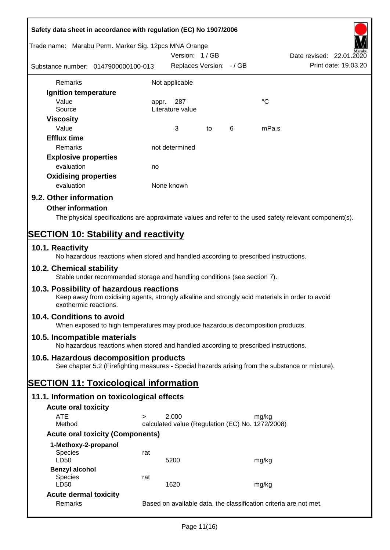| Safety data sheet in accordance with regulation (EC) No 1907/2006                                                                                                     |        |                                                           |    |   |                                                                                                        |
|-----------------------------------------------------------------------------------------------------------------------------------------------------------------------|--------|-----------------------------------------------------------|----|---|--------------------------------------------------------------------------------------------------------|
| Trade name: Marabu Perm. Marker Sig. 12pcs MNA Orange                                                                                                                 |        | Version: 1/GB                                             |    |   | Date revised: 22.01.2020                                                                               |
| Substance number: 0147900000100-013                                                                                                                                   |        | Replaces Version: - / GB                                  |    |   | Print date: 19.03.20                                                                                   |
| Remarks                                                                                                                                                               |        | Not applicable                                            |    |   |                                                                                                        |
| Ignition temperature                                                                                                                                                  |        |                                                           |    |   |                                                                                                        |
| Value                                                                                                                                                                 |        | appr. 287                                                 |    |   | °C                                                                                                     |
| Source                                                                                                                                                                |        | Literature value                                          |    |   |                                                                                                        |
| <b>Viscosity</b>                                                                                                                                                      |        |                                                           |    |   |                                                                                                        |
| Value                                                                                                                                                                 |        | 3                                                         | to | 6 | mPa.s                                                                                                  |
| <b>Efflux time</b>                                                                                                                                                    |        |                                                           |    |   |                                                                                                        |
| Remarks                                                                                                                                                               |        | not determined                                            |    |   |                                                                                                        |
| <b>Explosive properties</b>                                                                                                                                           |        |                                                           |    |   |                                                                                                        |
| evaluation                                                                                                                                                            | no     |                                                           |    |   |                                                                                                        |
| <b>Oxidising properties</b>                                                                                                                                           |        |                                                           |    |   |                                                                                                        |
| evaluation                                                                                                                                                            |        | None known                                                |    |   |                                                                                                        |
| 9.2. Other information                                                                                                                                                |        |                                                           |    |   |                                                                                                        |
| <b>Other information</b>                                                                                                                                              |        |                                                           |    |   |                                                                                                        |
|                                                                                                                                                                       |        |                                                           |    |   | The physical specifications are approximate values and refer to the used safety relevant component(s). |
| <b>SECTION 10: Stability and reactivity</b>                                                                                                                           |        |                                                           |    |   |                                                                                                        |
| 10.1. Reactivity<br>No hazardous reactions when stored and handled according to prescribed instructions.                                                              |        |                                                           |    |   |                                                                                                        |
| 10.2. Chemical stability<br>Stable under recommended storage and handling conditions (see section 7).                                                                 |        |                                                           |    |   |                                                                                                        |
| 10.3. Possibility of hazardous reactions<br>Keep away from oxidising agents, strongly alkaline and strongly acid materials in order to avoid<br>exothermic reactions. |        |                                                           |    |   |                                                                                                        |
| 10.4. Conditions to avoid<br>When exposed to high temperatures may produce hazardous decomposition products.                                                          |        |                                                           |    |   |                                                                                                        |
| 10.5. Incompatible materials<br>No hazardous reactions when stored and handled according to prescribed instructions.                                                  |        |                                                           |    |   |                                                                                                        |
| 10.6. Hazardous decomposition products                                                                                                                                |        |                                                           |    |   |                                                                                                        |
| See chapter 5.2 (Firefighting measures - Special hazards arising from the substance or mixture).                                                                      |        |                                                           |    |   |                                                                                                        |
| <b>SECTION 11: Toxicological information</b>                                                                                                                          |        |                                                           |    |   |                                                                                                        |
| 11.1. Information on toxicological effects                                                                                                                            |        |                                                           |    |   |                                                                                                        |
| <b>Acute oral toxicity</b>                                                                                                                                            |        |                                                           |    |   |                                                                                                        |
| <b>ATE</b><br>Method                                                                                                                                                  | $\geq$ | 2.000<br>calculated value (Regulation (EC) No. 1272/2008) |    |   | mg/kg                                                                                                  |
| <b>Acute oral toxicity (Components)</b>                                                                                                                               |        |                                                           |    |   |                                                                                                        |
| 1-Methoxy-2-propanol                                                                                                                                                  |        |                                                           |    |   |                                                                                                        |
| Species                                                                                                                                                               | rat    |                                                           |    |   |                                                                                                        |
| LD50                                                                                                                                                                  |        | 5200                                                      |    |   | mg/kg                                                                                                  |
| <b>Benzyl alcohol</b><br>Species                                                                                                                                      | rat    |                                                           |    |   |                                                                                                        |
| LD50                                                                                                                                                                  |        | 1620                                                      |    |   | mg/kg                                                                                                  |
| <b>Acute dermal toxicity</b>                                                                                                                                          |        |                                                           |    |   |                                                                                                        |
| Remarks                                                                                                                                                               |        |                                                           |    |   | Based on available data, the classification criteria are not met.                                      |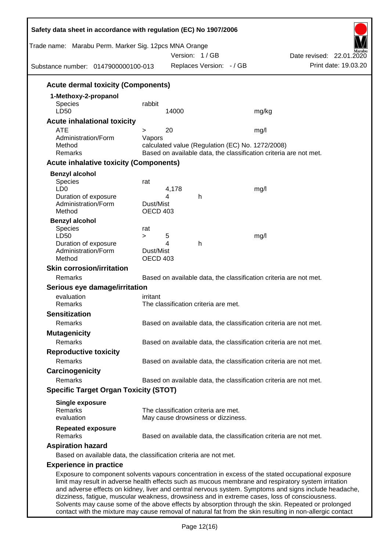| Trade name: Marabu Perm. Marker Sig. 12pcs MNA Orange<br>Substance number: 0147900000100-013 | Version: 1/GB<br>Replaces Version: - / GB                         | Date revised: 22.01.2020<br>Print date: 19.03.20                                                                                                                                                                                                                                                                                                                                                                      |
|----------------------------------------------------------------------------------------------|-------------------------------------------------------------------|-----------------------------------------------------------------------------------------------------------------------------------------------------------------------------------------------------------------------------------------------------------------------------------------------------------------------------------------------------------------------------------------------------------------------|
| <b>Acute dermal toxicity (Components)</b>                                                    |                                                                   |                                                                                                                                                                                                                                                                                                                                                                                                                       |
| 1-Methoxy-2-propanol                                                                         |                                                                   |                                                                                                                                                                                                                                                                                                                                                                                                                       |
| Species                                                                                      | rabbit                                                            |                                                                                                                                                                                                                                                                                                                                                                                                                       |
| LD50                                                                                         | 14000                                                             | mg/kg                                                                                                                                                                                                                                                                                                                                                                                                                 |
| <b>Acute inhalational toxicity</b>                                                           |                                                                   |                                                                                                                                                                                                                                                                                                                                                                                                                       |
| <b>ATE</b><br>Administration/Form                                                            | 20<br>$\geq$<br>Vapors                                            | mg/l                                                                                                                                                                                                                                                                                                                                                                                                                  |
| Method                                                                                       | calculated value (Regulation (EC) No. 1272/2008)                  |                                                                                                                                                                                                                                                                                                                                                                                                                       |
| Remarks                                                                                      |                                                                   | Based on available data, the classification criteria are not met.                                                                                                                                                                                                                                                                                                                                                     |
| <b>Acute inhalative toxicity (Components)</b>                                                |                                                                   |                                                                                                                                                                                                                                                                                                                                                                                                                       |
| <b>Benzyl alcohol</b>                                                                        |                                                                   |                                                                                                                                                                                                                                                                                                                                                                                                                       |
| <b>Species</b>                                                                               | rat                                                               |                                                                                                                                                                                                                                                                                                                                                                                                                       |
| LD <sub>0</sub><br>Duration of exposure                                                      | 4,178<br>4<br>h                                                   | mg/l                                                                                                                                                                                                                                                                                                                                                                                                                  |
| Administration/Form                                                                          | Dust/Mist                                                         |                                                                                                                                                                                                                                                                                                                                                                                                                       |
| Method                                                                                       | OECD 403                                                          |                                                                                                                                                                                                                                                                                                                                                                                                                       |
| <b>Benzyl alcohol</b>                                                                        |                                                                   |                                                                                                                                                                                                                                                                                                                                                                                                                       |
| <b>Species</b>                                                                               | rat                                                               |                                                                                                                                                                                                                                                                                                                                                                                                                       |
| LD50<br>Duration of exposure                                                                 | 5<br>$\geq$<br>4<br>h                                             | mg/l                                                                                                                                                                                                                                                                                                                                                                                                                  |
| Administration/Form                                                                          | Dust/Mist                                                         |                                                                                                                                                                                                                                                                                                                                                                                                                       |
| Method                                                                                       | OECD 403                                                          |                                                                                                                                                                                                                                                                                                                                                                                                                       |
| <b>Skin corrosion/irritation</b>                                                             |                                                                   |                                                                                                                                                                                                                                                                                                                                                                                                                       |
| Remarks                                                                                      |                                                                   | Based on available data, the classification criteria are not met.                                                                                                                                                                                                                                                                                                                                                     |
| Serious eye damage/irritation                                                                |                                                                   |                                                                                                                                                                                                                                                                                                                                                                                                                       |
| evaluation                                                                                   | irritant                                                          |                                                                                                                                                                                                                                                                                                                                                                                                                       |
| Remarks                                                                                      | The classification criteria are met.                              |                                                                                                                                                                                                                                                                                                                                                                                                                       |
| <b>Sensitization</b>                                                                         |                                                                   |                                                                                                                                                                                                                                                                                                                                                                                                                       |
| Remarks                                                                                      |                                                                   | Based on available data, the classification criteria are not met.                                                                                                                                                                                                                                                                                                                                                     |
| <b>Mutagenicity</b>                                                                          |                                                                   |                                                                                                                                                                                                                                                                                                                                                                                                                       |
| Remarks                                                                                      |                                                                   | Based on available data, the classification criteria are not met.                                                                                                                                                                                                                                                                                                                                                     |
| <b>Reproductive toxicity</b>                                                                 |                                                                   |                                                                                                                                                                                                                                                                                                                                                                                                                       |
| Remarks                                                                                      |                                                                   | Based on available data, the classification criteria are not met.                                                                                                                                                                                                                                                                                                                                                     |
| Carcinogenicity                                                                              |                                                                   |                                                                                                                                                                                                                                                                                                                                                                                                                       |
| Remarks                                                                                      |                                                                   | Based on available data, the classification criteria are not met.                                                                                                                                                                                                                                                                                                                                                     |
| <b>Specific Target Organ Toxicity (STOT)</b>                                                 |                                                                   |                                                                                                                                                                                                                                                                                                                                                                                                                       |
| <b>Single exposure</b>                                                                       |                                                                   |                                                                                                                                                                                                                                                                                                                                                                                                                       |
| Remarks                                                                                      | The classification criteria are met.                              |                                                                                                                                                                                                                                                                                                                                                                                                                       |
| evaluation                                                                                   | May cause drowsiness or dizziness.                                |                                                                                                                                                                                                                                                                                                                                                                                                                       |
| <b>Repeated exposure</b>                                                                     |                                                                   |                                                                                                                                                                                                                                                                                                                                                                                                                       |
| Remarks                                                                                      |                                                                   | Based on available data, the classification criteria are not met.                                                                                                                                                                                                                                                                                                                                                     |
| <b>Aspiration hazard</b>                                                                     |                                                                   |                                                                                                                                                                                                                                                                                                                                                                                                                       |
|                                                                                              | Based on available data, the classification criteria are not met. |                                                                                                                                                                                                                                                                                                                                                                                                                       |
| <b>Experience in practice</b>                                                                |                                                                   |                                                                                                                                                                                                                                                                                                                                                                                                                       |
|                                                                                              |                                                                   | Exposure to component solvents vapours concentration in excess of the stated occupational exposure<br>limit may result in adverse health effects such as mucous membrane and respiratory system irritation<br>and adverse effects on kidney, liver and central nervous system. Symptoms and signs include headache,<br>dizziness, fatigue, muscular weakness, drowsiness and in extreme cases, loss of consciousness. |

Solvents may cause some of the above effects by absorption through the skin. Repeated or prolonged contact with the mixture may cause removal of natural fat from the skin resulting in non-allergic contact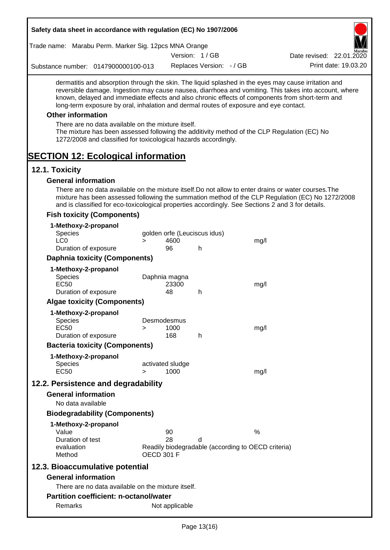|                        | Safety data sheet in accordance with regulation (EC) No 1907/2006                                                                                                                                                    |                   |                        |                              |                                                    |                                                                                                                                                                                                                                                                                                                  |
|------------------------|----------------------------------------------------------------------------------------------------------------------------------------------------------------------------------------------------------------------|-------------------|------------------------|------------------------------|----------------------------------------------------|------------------------------------------------------------------------------------------------------------------------------------------------------------------------------------------------------------------------------------------------------------------------------------------------------------------|
|                        | Trade name: Marabu Perm. Marker Sig. 12pcs MNA Orange                                                                                                                                                                |                   |                        |                              |                                                    |                                                                                                                                                                                                                                                                                                                  |
|                        |                                                                                                                                                                                                                      |                   |                        | Version: 1/GB                |                                                    | Date revised: 22.01.2020                                                                                                                                                                                                                                                                                         |
|                        | Substance number: 0147900000100-013                                                                                                                                                                                  |                   |                        | Replaces Version: - / GB     |                                                    | Print date: 19.03.20                                                                                                                                                                                                                                                                                             |
|                        | long-term exposure by oral, inhalation and dermal routes of exposure and eye contact.                                                                                                                                |                   |                        |                              |                                                    | dermatitis and absorption through the skin. The liquid splashed in the eyes may cause irritation and<br>reversible damage. Ingestion may cause nausea, diarrhoea and vomiting. This takes into account, where<br>known, delayed and immediate effects and also chronic effects of components from short-term and |
|                        | <b>Other information</b>                                                                                                                                                                                             |                   |                        |                              |                                                    |                                                                                                                                                                                                                                                                                                                  |
|                        | There are no data available on the mixture itself.<br>The mixture has been assessed following the additivity method of the CLP Regulation (EC) No<br>1272/2008 and classified for toxicological hazards accordingly. |                   |                        |                              |                                                    |                                                                                                                                                                                                                                                                                                                  |
|                        | <b>SECTION 12: Ecological information</b>                                                                                                                                                                            |                   |                        |                              |                                                    |                                                                                                                                                                                                                                                                                                                  |
| 12.1. Toxicity         |                                                                                                                                                                                                                      |                   |                        |                              |                                                    |                                                                                                                                                                                                                                                                                                                  |
|                        | <b>General information</b>                                                                                                                                                                                           |                   |                        |                              |                                                    |                                                                                                                                                                                                                                                                                                                  |
|                        | and is classified for eco-toxicological properties accordingly. See Sections 2 and 3 for details.                                                                                                                    |                   |                        |                              |                                                    | There are no data available on the mixture itself. Do not allow to enter drains or water courses. The<br>mixture has been assessed following the summation method of the CLP Regulation (EC) No 1272/2008                                                                                                        |
|                        | <b>Fish toxicity (Components)</b>                                                                                                                                                                                    |                   |                        |                              |                                                    |                                                                                                                                                                                                                                                                                                                  |
| <b>Species</b>         | 1-Methoxy-2-propanol                                                                                                                                                                                                 |                   |                        | golden orfe (Leuciscus idus) |                                                    |                                                                                                                                                                                                                                                                                                                  |
| LC <sub>0</sub>        |                                                                                                                                                                                                                      | $\geq$            | 4600                   |                              | mg/l                                               |                                                                                                                                                                                                                                                                                                                  |
|                        | Duration of exposure                                                                                                                                                                                                 |                   | 96                     | h                            |                                                    |                                                                                                                                                                                                                                                                                                                  |
|                        | <b>Daphnia toxicity (Components)</b>                                                                                                                                                                                 |                   |                        |                              |                                                    |                                                                                                                                                                                                                                                                                                                  |
| Species<br><b>EC50</b> | 1-Methoxy-2-propanol                                                                                                                                                                                                 |                   | Daphnia magna<br>23300 |                              | mg/l                                               |                                                                                                                                                                                                                                                                                                                  |
|                        | Duration of exposure                                                                                                                                                                                                 |                   | 48                     | h                            |                                                    |                                                                                                                                                                                                                                                                                                                  |
|                        | <b>Algae toxicity (Components)</b>                                                                                                                                                                                   |                   |                        |                              |                                                    |                                                                                                                                                                                                                                                                                                                  |
|                        | 1-Methoxy-2-propanol                                                                                                                                                                                                 |                   |                        |                              |                                                    |                                                                                                                                                                                                                                                                                                                  |
| Species<br><b>EC50</b> |                                                                                                                                                                                                                      | >                 | Desmodesmus<br>1000    |                              | mg/l                                               |                                                                                                                                                                                                                                                                                                                  |
|                        | Duration of exposure                                                                                                                                                                                                 |                   | 168                    | h                            |                                                    |                                                                                                                                                                                                                                                                                                                  |
|                        | <b>Bacteria toxicity (Components)</b>                                                                                                                                                                                |                   |                        |                              |                                                    |                                                                                                                                                                                                                                                                                                                  |
|                        | 1-Methoxy-2-propanol                                                                                                                                                                                                 |                   |                        |                              |                                                    |                                                                                                                                                                                                                                                                                                                  |
| <b>Species</b>         |                                                                                                                                                                                                                      |                   | activated sludge       |                              |                                                    |                                                                                                                                                                                                                                                                                                                  |
| <b>EC50</b>            |                                                                                                                                                                                                                      | $\geq$            | 1000                   |                              | mg/l                                               |                                                                                                                                                                                                                                                                                                                  |
|                        | 12.2. Persistence and degradability                                                                                                                                                                                  |                   |                        |                              |                                                    |                                                                                                                                                                                                                                                                                                                  |
|                        | <b>General information</b><br>No data available                                                                                                                                                                      |                   |                        |                              |                                                    |                                                                                                                                                                                                                                                                                                                  |
|                        | <b>Biodegradability (Components)</b>                                                                                                                                                                                 |                   |                        |                              |                                                    |                                                                                                                                                                                                                                                                                                                  |
|                        | 1-Methoxy-2-propanol                                                                                                                                                                                                 |                   |                        |                              |                                                    |                                                                                                                                                                                                                                                                                                                  |
| Value                  |                                                                                                                                                                                                                      |                   | 90                     |                              | $\frac{0}{0}$                                      |                                                                                                                                                                                                                                                                                                                  |
|                        | Duration of test                                                                                                                                                                                                     |                   | 28                     | d                            |                                                    |                                                                                                                                                                                                                                                                                                                  |
| Method                 | evaluation                                                                                                                                                                                                           | <b>OECD 301 F</b> |                        |                              | Readily biodegradable (according to OECD criteria) |                                                                                                                                                                                                                                                                                                                  |
|                        | 12.3. Bioaccumulative potential                                                                                                                                                                                      |                   |                        |                              |                                                    |                                                                                                                                                                                                                                                                                                                  |
|                        | <b>General information</b>                                                                                                                                                                                           |                   |                        |                              |                                                    |                                                                                                                                                                                                                                                                                                                  |
|                        | There are no data available on the mixture itself.                                                                                                                                                                   |                   |                        |                              |                                                    |                                                                                                                                                                                                                                                                                                                  |
|                        | <b>Partition coefficient: n-octanol/water</b>                                                                                                                                                                        |                   |                        |                              |                                                    |                                                                                                                                                                                                                                                                                                                  |
|                        | Remarks                                                                                                                                                                                                              |                   | Not applicable         |                              |                                                    |                                                                                                                                                                                                                                                                                                                  |

Г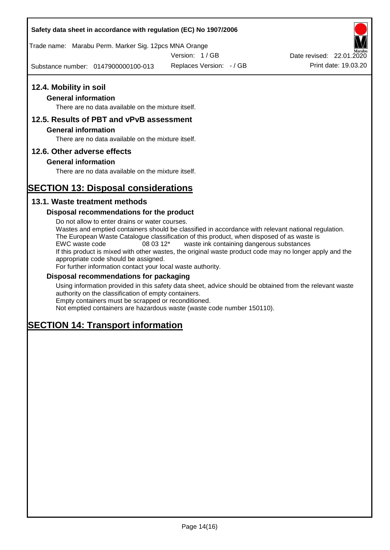### **Safety data sheet in accordance with regulation (EC) No 1907/2006**

Trade name: Marabu Perm. Marker Sig. 12pcs MNA Orange

Version: 1 / GB

Substance number: 0147900000100-013

Replaces Version: - / GB Print date: 19.03.20 Date revised: 22.01.2020

# **12.4. Mobility in soil**

# **General information**

There are no data available on the mixture itself.

### **12.5. Results of PBT and vPvB assessment**

#### **General information**

There are no data available on the mixture itself.

### **12.6. Other adverse effects**

### **General information**

There are no data available on the mixture itself.

# **SECTION 13: Disposal considerations**

### **13.1. Waste treatment methods**

### **Disposal recommendations for the product**

Do not allow to enter drains or water courses. Wastes and emptied containers should be classified in accordance with relevant national regulation. The European Waste Catalogue classification of this product, when disposed of as waste is EWC waste code 08 03 12\* waste ink containing dangerous substances If this product is mixed with other wastes, the original waste product code may no longer apply and the appropriate code should be assigned. For further information contact your local waste authority.

### **Disposal recommendations for packaging**

Using information provided in this safety data sheet, advice should be obtained from the relevant waste authority on the classification of empty containers. Empty containers must be scrapped or reconditioned.

Not emptied containers are hazardous waste (waste code number 150110).

# **SECTION 14: Transport information**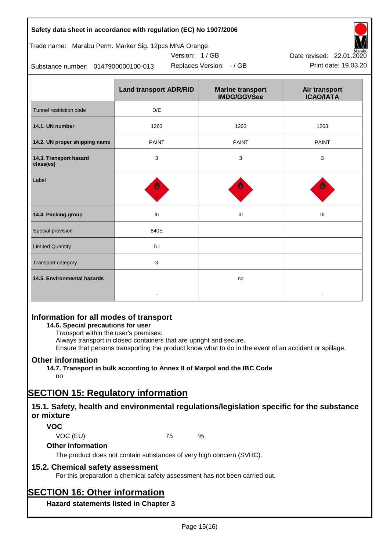| Safety data sheet in accordance with regulation (EC) No 1907/2006 |  |
|-------------------------------------------------------------------|--|
|-------------------------------------------------------------------|--|

### Trade name: Marabu Perm. Marker Sig. 12pcs MNA Orange





Replaces Version:  $-$  / GB Print date: 19.03.20 Date revised: 22.01.2020

Substance number: 0147900000100-013

|                                     | <b>Land transport ADR/RID</b> | <b>Marine transport</b><br><b>IMDG/GGVSee</b> | Air transport<br><b>ICAO/IATA</b> |
|-------------------------------------|-------------------------------|-----------------------------------------------|-----------------------------------|
| Tunnel restriction code             | D/E                           |                                               |                                   |
| 14.1. UN number                     | 1263                          | 1263                                          | 1263                              |
| 14.2. UN proper shipping name       | <b>PAINT</b>                  | <b>PAINT</b>                                  | <b>PAINT</b>                      |
| 14.3. Transport hazard<br>class(es) | 3                             | 3                                             | 3                                 |
| Label                               |                               |                                               |                                   |
| 14.4. Packing group                 | Ш                             | Ш                                             | Ш                                 |
| Special provision                   | 640E                          |                                               |                                   |
| <b>Limited Quantity</b>             | 51                            |                                               |                                   |
| Transport category                  | 3                             |                                               |                                   |
| 14.5. Environmental hazards         |                               | no                                            |                                   |

# **Information for all modes of transport**

# **14.6. Special precautions for user**

Transport within the user's premises:

Always transport in closed containers that are upright and secure.

Ensure that persons transporting the product know what to do in the event of an accident or spillage.

# **Other information**

**14.7. Transport in bulk according to Annex II of Marpol and the IBC Code**

# no

# **SECTION 15: Regulatory information**

# **15.1. Safety, health and environmental regulations/legislation specific for the substance or mixture**

# **VOC**

VOC (EU) 75 %

# **Other information**

The product does not contain substances of very high concern (SVHC).

# **15.2. Chemical safety assessment**

For this preparation a chemical safety assessment has not been carried out.

# **SECTION 16: Other information**

**Hazard statements listed in Chapter 3**